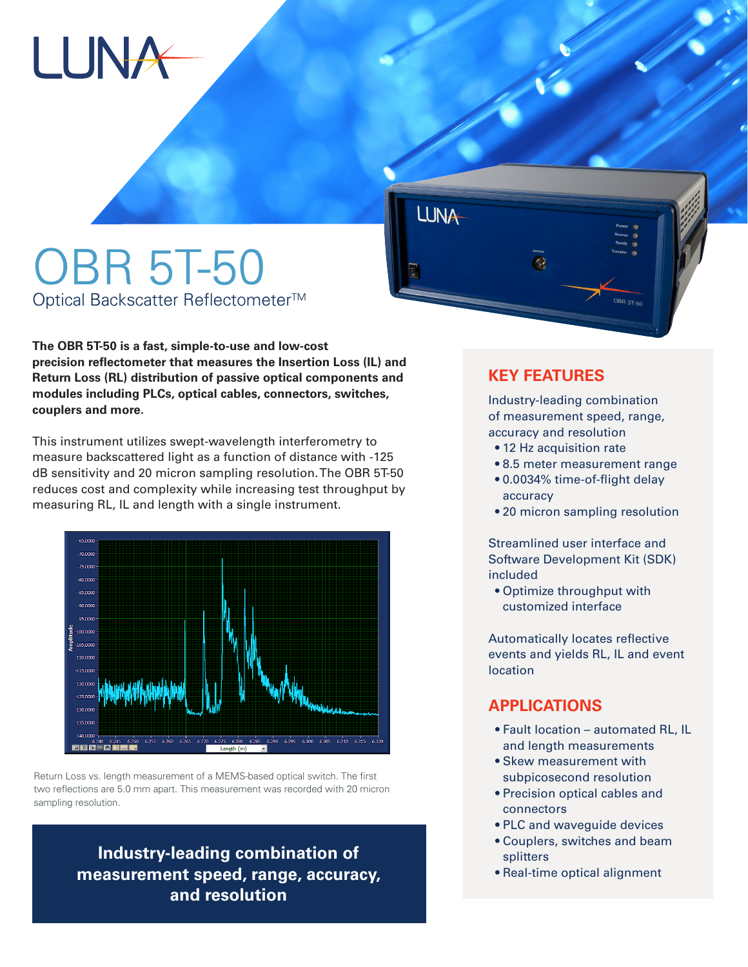

# OBR 5T-50 Optical Backscatter Reflectometer<sup>™</sup>

**The OBR 5T-50 is a fast, simple-to-use and low-cost precision reflectometer that measures the Insertion Loss (IL) and Return Loss (RL) distribution of passive optical components and modules including PLCs, optical cables, connectors, switches, couplers and more.** 

This instrument utilizes swept-wavelength interferometry to measure backscattered light as a function of distance with -125 dB sensitivity and 20 micron sampling resolution. The OBR 5T-50 reduces cost and complexity while increasing test throughput by measuring RL, IL and length with a single instrument.



Return Loss vs. length measurement of a MEMS-based optical switch. The first two reflections are 5.0 mm apart. This measurement was recorded with 20 micron sampling resolution.

> **Industry-leading combination of measurement speed, range, accuracy, and resolution**

### **KEY FEATURES**

**LUNA** 

Industry-leading combination of measurement speed, range, accuracy and resolution

- 12 Hz acquisition rate
- 8.5 meter measurement range
- 0.0034% time-of-flight delay accuracy
- 20 micron sampling resolution

Streamlined user interface and Software Development Kit (SDK) included

 • Optimize throughput with customized interface

Automatically locates reflective events and yields RL, IL and event location

#### **APPLICATIONS**

- Fault location automated RL, IL and length measurements
- Skew measurement with subpicosecond resolution
- Precision optical cables and connectors
- PLC and waveguide devices
- Couplers, switches and beam splitters
- Real-time optical alignment